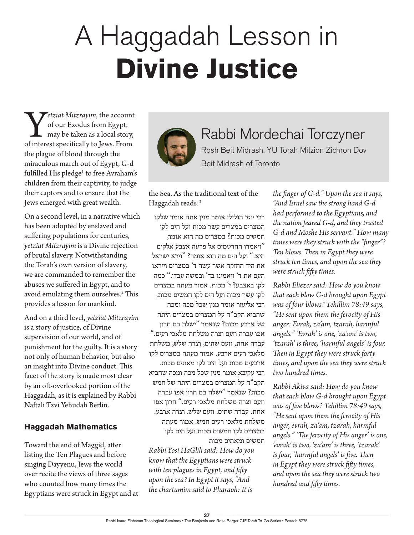# A Haggadah Lesson in **Divine Justice**

*etziat Mitzrayim*, the account<br>of our Exodus from Egypt,<br>may be taken as a local story,<br>of interest specifically to Jews. From of our Exodus from Egypt, may be taken as a local story, the plague of blood through the miraculous march out of Egypt, G-d fulfilled His pledge<sup>1</sup> to free Avraham's children from their captivity, to judge their captors and to ensure that the Jews emerged with great wealth.

On a second level, in a narrative which has been adopted by enslaved and suffering populations for centuries, *yetziat Mitzrayim* is a Divine rejection of brutal slavery. Notwithstanding the Torah's own version of slavery, we are commanded to remember the abuses we suffered in Egypt, and to avoid emulating them ourselves.<sup>2</sup> This provides a lesson for mankind.

And on a third level, *yetziat Mitzrayim*  is a story of justice, of Divine supervision of our world, and of punishment for the guilty. It is a story not only of human behavior, but also an insight into Divine conduct. This facet of the story is made most clear by an oft-overlooked portion of the Haggadah, as it is explained by Rabbi Naftali Tzvi Yehudah Berlin.

## **Haggadah Mathematics**

Toward the end of Maggid, after listing the Ten Plagues and before singing Dayyenu, Jews the world over recite the views of three sages who counted how many times the Egyptians were struck in Egypt and at



Rabbi Mordechai Torczyner Rosh Beit Midrash, YU Torah Mitzion Zichron Dov Beit Midrash of Toronto

the Sea. As the traditional text of the Haggadah reads:<sup>3</sup>

רבי יוסי הגלילי אומר מנין אתה אומר שלקו המצרים במצרים עשר מכות ועל הים לקו חמשים מכות? במצרים מה הוא אומר, "ויאמרו החרטמים אל פרעה אצבע אלקים היא." ועל הים מה הוא אומר? "וירא ישראל את היד החזקה אשר עשה ד' במצרים וייראו העם את ד' ויאמינו בד' ובמשה עבדו." כמה לקו באצבע? י' מכות. אמור מעתה במצרים לקו עשר מכות ועל הים לקו חמשים מכות. רבי אליעזר אומר מנין שכל מכה ומכה שהביא הקב"ה על המצרים במצרים היתה של ארבע מכות? שנאמר "ישלח בם חרון אפו עברה וזעם וצרה משלחת מלאכי רעים." עברה אחת, וזעם שתים, וצרה שלש, משלחת מלאכי רעים ארבע. אמור מעתה במצרים לקו ארבעים מכות ועל הים לקו מאתים מכות. רבי עקיבא אומר מנין שכל מכה ומכה שהביא הקב"ה על המצרים במצרים היתה של חמש מכות? שנאמר "ישלח בם חרון אפו עברה וזעם וצרה משלחת מלאכי רעים." חרון אפו אחת. עברה שתים. וזעם שלש. וצרה ארבע. משלחת מלאכי רעים חמש. אמור מעתה במצרים לקו חמשים מכות ועל הים לקו חמשים ומאתים מכות

*Rabbi Yosi HaGlili said: How do you know that the Egyptians were struck with ten plagues in Egypt, and fifty upon the sea? In Egypt it says, "And the chartumim said to Pharaoh: It is* 

*the finger of G-d." Upon the sea it says, "And Israel saw the strong hand G-d had performed to the Egyptians, and the nation feared G-d, and they trusted G-d and Moshe His servant." How many times were they struck with the "finger"? Ten blows. Then in Egypt they were struck ten times, and upon the sea they were struck fifty times.*

*Rabbi Eliezer said: How do you know that each blow G-d brought upon Egypt was of four blows? Tehillim 78:49 says, "He sent upon them the ferocity of His anger: Evrah, za'am, tzarah, harmful angels." 'Evrah' is one, 'za'am' is two, 'tzarah' is three, 'harmful angels' is four. Then in Egypt they were struck forty times, and upon the sea they were struck two hundred times.*

*Rabbi Akiva said: How do you know that each blow G-d brought upon Egypt was of five blows? Tehillim 78:49 says, "He sent upon them the ferocity of His anger, evrah, za'am, tzarah, harmful angels." 'The ferocity of His anger' is one, 'evrah' is two, 'za'am' is three, 'tzarah' is four, 'harmful angels' is five. Then in Egypt they were struck fifty times, and upon the sea they were struck two hundred and fifty times.*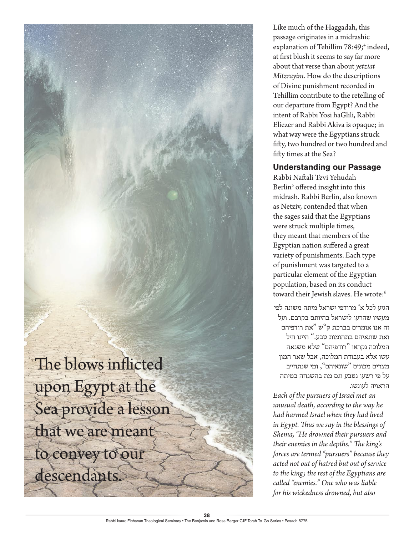The blows inflicted upon Egypt at the Sea provide a lesson that we are meant to convey to our descendants.

Like much of the Haggadah, this passage originates in a midrashic explanation of Tehillim 78:49;<sup>4</sup> indeed, at first blush it seems to say far more about that verse than about *yetziat Mitzrayim*. How do the descriptions of Divine punishment recorded in Tehillim contribute to the retelling of our departure from Egypt? And the intent of Rabbi Yosi haGlili, Rabbi Eliezer and Rabbi Akiva is opaque; in what way were the Egyptians struck fifty, two hundred or two hundred and fifty times at the Sea?

### **Understanding our Passage**

Rabbi Naftali Tzvi Yehudah Berlin<sup>5</sup> offered insight into this midrash. Rabbi Berlin, also known as Netziv, contended that when the sages said that the Egyptians were struck multiple times, they meant that members of the Egyptian nation suffered a great variety of punishments. Each type of punishment was targeted to a particular element of the Egyptian population, based on its conduct toward their Jewish slaves. He wrote:<sup>6</sup>

הגיע לכל א' מרודפי ישראל מיתה משונה לפי מעשיו שהרעו לישראל בהיותם בקרבם. ועל זה אנו אומרים בברכת ק"ש "את רודפיהם ואת שונאיהם בתהומות טבע." היינו חיל המלוכה נקראו "רודפיהם" שלא משנאה עשו אלא בעבודת המלוכה, אבל שאר המון מצרים מכונים "שונאיהם", ומי שנתחייב על פי רשעו נטבע וגם מת בהשגחה במיתה הראויה לעונשו.

*Each of the pursuers of Israel met an unusual death, according to the way he had harmed Israel when they had lived in Egypt. Thus we say in the blessings of Shema, "He drowned their pursuers and their enemies in the depths." The king's forces are termed "pursuers" because they acted not out of hatred but out of service to the king; the rest of the Egyptians are called "enemies." One who was liable for his wickedness drowned, but also*